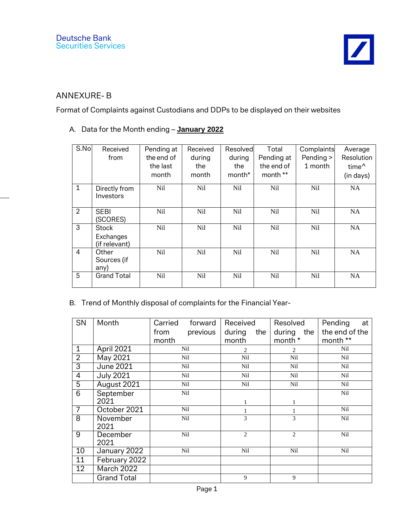## ANNEXURE- B

Format of Complaints against Custodians and DDPs to be displayed on their websites

## A. Data for the Month ending – **January 2022**

| S.No           | Received<br>from                           | Pending at<br>the end of<br>the last<br>month | Received<br>during<br>the<br>month | Resolvedl<br>during<br>the<br>month <sup>*</sup> | Total<br>Pending at<br>the end of<br>month ** | Complaints<br>Pending ><br>1 month | Average<br>Resolution<br>time <sup>^</sup><br>(in days) |
|----------------|--------------------------------------------|-----------------------------------------------|------------------------------------|--------------------------------------------------|-----------------------------------------------|------------------------------------|---------------------------------------------------------|
| $\mathbf{1}$   | Directly from<br>Investors                 | <b>Nil</b>                                    | <b>Nil</b>                         | <b>Nil</b>                                       | <b>Nil</b>                                    | <b>Nil</b>                         | NA                                                      |
| $\overline{2}$ | <b>SEBI</b><br>(SCORES)                    | <b>Nil</b>                                    | <b>Nil</b>                         | <b>Nil</b>                                       | <b>Nil</b>                                    | <b>Nil</b>                         | <b>NA</b>                                               |
| 3              | <b>Stock</b><br>Exchanges<br>(if relevant) | N <sub>il</sub>                               | <b>Nil</b>                         | <b>Nil</b>                                       | <b>Nil</b>                                    | <b>Nil</b>                         | <b>NA</b>                                               |
| $\overline{4}$ | Other<br>Sources (if<br>any)               | <b>Nil</b>                                    | <b>Nil</b>                         | <b>Nil</b>                                       | <b>Nil</b>                                    | Nil                                | <b>NA</b>                                               |
| 5              | <b>Grand Total</b>                         | N <sub>il</sub>                               | <b>Nil</b>                         | <b>Nil</b>                                       | N <sub>il</sub>                               | <b>Nil</b>                         | <b>NA</b>                                               |

## B. Trend of Monthly disposal of complaints for the Financial Year-

| SN             | Month              | Carried<br>forward | Received       | Resolved       | Pending<br>at  |
|----------------|--------------------|--------------------|----------------|----------------|----------------|
|                |                    | previous<br>from   | during<br>the  | during the     | the end of the |
|                |                    | month              | month          | month *        | month **       |
| $\mathbf{1}$   | April 2021         | Nil                | $\overline{c}$ | $\overline{2}$ | Nil            |
| $\overline{2}$ | May 2021           | Nil                | Nil            | Nil            | Nil            |
| 3              | <b>June 2021</b>   | Nil                | Nil            | Nil            | Nil            |
| $\overline{4}$ | <b>July 2021</b>   | Nil                | Nil            | Nil            | Nil            |
| $\overline{5}$ | August 2021        | Nil                | Nil            | Nil            | Nil            |
| $\overline{6}$ | September          | Nil                |                |                | Nil            |
|                | 2021               |                    |                |                |                |
| $\overline{7}$ | October 2021       | Nil                |                |                | Nil            |
| 8              | November           | Nil                | 3              | 3              | Nil            |
|                | 2021               |                    |                |                |                |
| 9              | December           | Nil                | $\overline{c}$ | $\overline{2}$ | Nil            |
|                | 2021               |                    |                |                |                |
| 10             | January 2022       | Nil                | Nil            | Nil            | Nil            |
| 11             | February 2022      |                    |                |                |                |
| 12             | March 2022         |                    |                |                |                |
|                | <b>Grand Total</b> |                    | 9              | 9              |                |